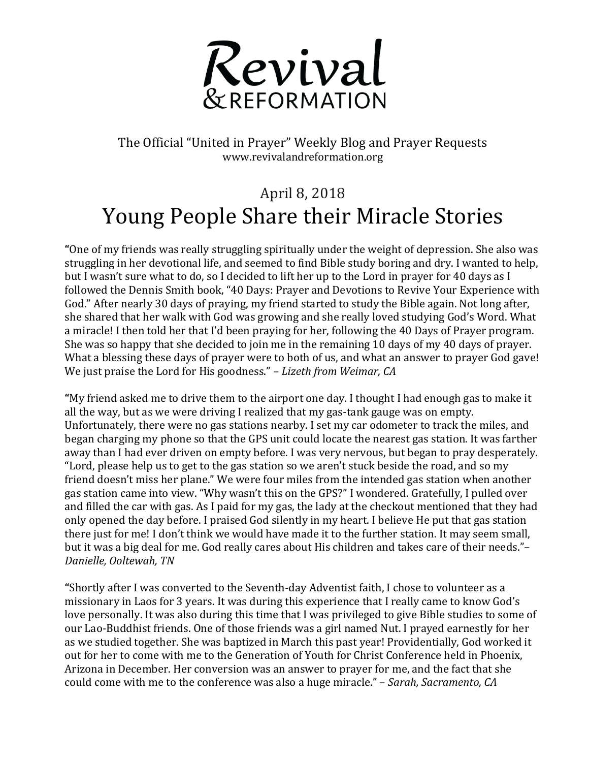

The Official "United in Prayer" Weekly Blog and Prayer Requests www.revivalandreformation.org

## April 8, 2018 Young People Share their Miracle Stories

"One of my friends was really struggling spiritually under the weight of depression. She also was struggling in her devotional life, and seemed to find Bible study boring and dry. I wanted to help, but I wasn't sure what to do, so I decided to lift her up to the Lord in prayer for 40 days as I followed the Dennis Smith book, "40 Days: Prayer and Devotions to Revive Your Experience with God." After nearly 30 days of praying, my friend started to study the Bible again. Not long after, she shared that her walk with God was growing and she really loved studying God's Word. What a miracle! I then told her that I'd been praying for her, following the 40 Days of Prayer program. She was so happy that she decided to join me in the remaining 10 days of my 40 days of prayer. What a blessing these days of prayer were to both of us, and what an answer to prayer God gave! We just praise the Lord for His goodness." – *Lizeth from Weimar, CA* 

"My friend asked me to drive them to the airport one day. I thought I had enough gas to make it all the way, but as we were driving I realized that my gas-tank gauge was on empty. Unfortunately, there were no gas stations nearby. I set my car odometer to track the miles, and began charging my phone so that the GPS unit could locate the nearest gas station. It was farther away than I had ever driven on empty before. I was very nervous, but began to pray desperately. "Lord, please help us to get to the gas station so we aren't stuck beside the road, and so my friend doesn't miss her plane." We were four miles from the intended gas station when another gas station came into view. "Why wasn't this on the GPS?" I wondered. Gratefully, I pulled over and filled the car with gas. As I paid for my gas, the lady at the checkout mentioned that they had only opened the day before. I praised God silently in my heart. I believe He put that gas station there just for me! I don't think we would have made it to the further station. It may seem small, but it was a big deal for me. God really cares about His children and takes care of their needs."-*Danielle, Ooltewah, TN*

"Shortly after I was converted to the Seventh-day Adventist faith, I chose to volunteer as a missionary in Laos for 3 years. It was during this experience that I really came to know God's love personally. It was also during this time that I was privileged to give Bible studies to some of our Lao-Buddhist friends. One of those friends was a girl named Nut. I prayed earnestly for her as we studied together. She was baptized in March this past year! Providentially, God worked it out for her to come with me to the Generation of Youth for Christ Conference held in Phoenix, Arizona in December. Her conversion was an answer to prayer for me, and the fact that she could come with me to the conference was also a huge miracle." – *Sarah, Sacramento, CA*